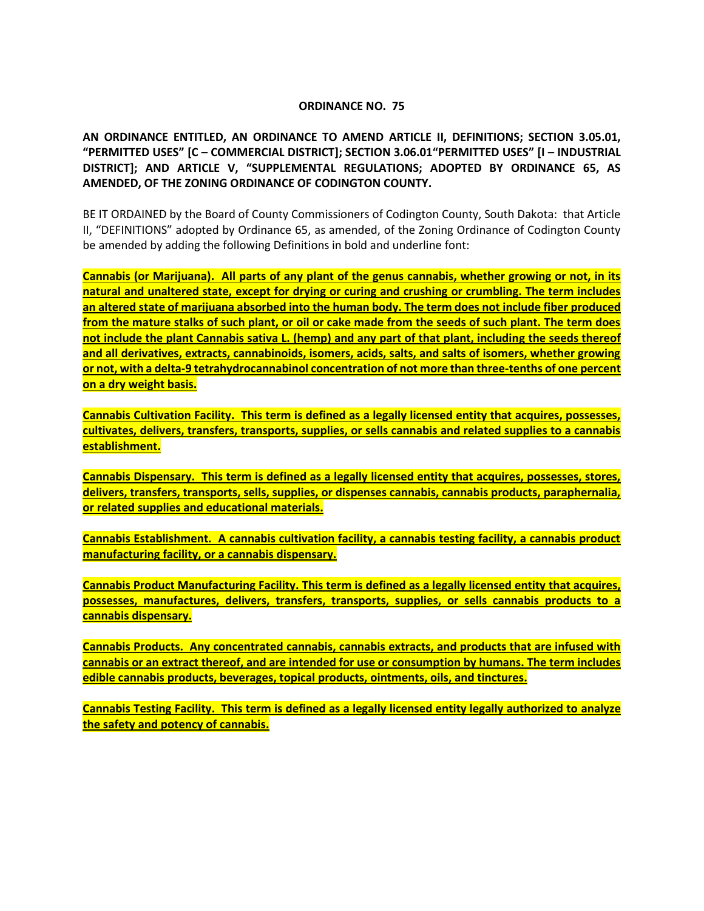#### **ORDINANCE NO. 75**

**AN ORDINANCE ENTITLED, AN ORDINANCE TO AMEND ARTICLE II, DEFINITIONS; SECTION 3.05.01, "PERMITTED USES" [C – COMMERCIAL DISTRICT]; SECTION 3.06.01"PERMITTED USES" [I – INDUSTRIAL DISTRICT]; AND ARTICLE V, "SUPPLEMENTAL REGULATIONS; ADOPTED BY ORDINANCE 65, AS AMENDED, OF THE ZONING ORDINANCE OF CODINGTON COUNTY.**

BE IT ORDAINED by the Board of County Commissioners of Codington County, South Dakota: that Article II, "DEFINITIONS" adopted by Ordinance 65, as amended, of the Zoning Ordinance of Codington County be amended by adding the following Definitions in bold and underline font:

**Cannabis (or Marijuana). All parts of any plant of the genus cannabis, whether growing or not, in its natural and unaltered state, except for drying or curing and crushing or crumbling. The term includes an altered state of marijuana absorbed into the human body. The term does not include fiber produced from the mature stalks of such plant, or oil or cake made from the seeds of such plant. The term does not include the plant Cannabis sativa L. (hemp) and any part of that plant, including the seeds thereof and all derivatives, extracts, cannabinoids, isomers, acids, salts, and salts of isomers, whether growing or not, with a delta-9 tetrahydrocannabinol concentration of not more than three-tenths of one percent on a dry weight basis.**

**Cannabis Cultivation Facility. This term is defined as a legally licensed entity that acquires, possesses, cultivates, delivers, transfers, transports, supplies, or sells cannabis and related supplies to a cannabis establishment.**

**Cannabis Dispensary. This term is defined as a legally licensed entity that acquires, possesses, stores, delivers, transfers, transports, sells, supplies, or dispenses cannabis, cannabis products, paraphernalia, or related supplies and educational materials.**

**Cannabis Establishment. A cannabis cultivation facility, a cannabis testing facility, a cannabis product manufacturing facility, or a cannabis dispensary.**

**Cannabis Product Manufacturing Facility. This term is defined as a legally licensed entity that acquires, possesses, manufactures, delivers, transfers, transports, supplies, or sells cannabis products to a cannabis dispensary.**

**Cannabis Products. Any concentrated cannabis, cannabis extracts, and products that are infused with cannabis or an extract thereof, and are intended for use or consumption by humans. The term includes edible cannabis products, beverages, topical products, ointments, oils, and tinctures.**

**Cannabis Testing Facility. This term is defined as a legally licensed entity legally authorized to analyze the safety and potency of cannabis.**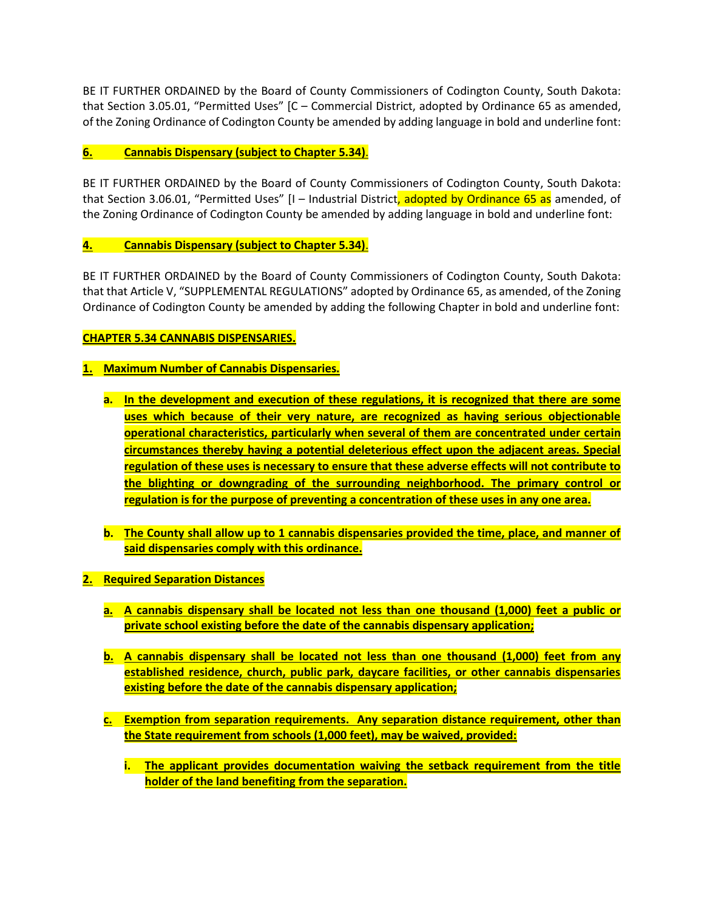BE IT FURTHER ORDAINED by the Board of County Commissioners of Codington County, South Dakota: that Section 3.05.01, "Permitted Uses" [C – Commercial District, adopted by Ordinance 65 as amended, of the Zoning Ordinance of Codington County be amended by adding language in bold and underline font:

#### **6. Cannabis Dispensary (subject to Chapter 5.34)**.

BE IT FURTHER ORDAINED by the Board of County Commissioners of Codington County, South Dakota: that Section 3.06.01, "Permitted Uses" [I - Industrial District, adopted by Ordinance 65 as amended, of the Zoning Ordinance of Codington County be amended by adding language in bold and underline font:

## **4. Cannabis Dispensary (subject to Chapter 5.34)**.

BE IT FURTHER ORDAINED by the Board of County Commissioners of Codington County, South Dakota: that that Article V, "SUPPLEMENTAL REGULATIONS" adopted by Ordinance 65, as amended, of the Zoning Ordinance of Codington County be amended by adding the following Chapter in bold and underline font:

# **CHAPTER 5.34 CANNABIS DISPENSARIES.**

## **1. Maximum Number of Cannabis Dispensaries.**

- **a. In the development and execution of these regulations, it is recognized that there are some uses which because of their very nature, are recognized as having serious objectionable operational characteristics, particularly when several of them are concentrated under certain circumstances thereby having a potential deleterious effect upon the adjacent areas. Special regulation of these uses is necessary to ensure that these adverse effects will not contribute to the blighting or downgrading of the surrounding neighborhood. The primary control or regulation is for the purpose of preventing a concentration of these uses in any one area.**
- **b. The County shall allow up to 1 cannabis dispensaries provided the time, place, and manner of said dispensaries comply with this ordinance.**
- **2. Required Separation Distances**
	- **a. A cannabis dispensary shall be located not less than one thousand (1,000) feet a public or private school existing before the date of the cannabis dispensary application;**
	- **b. A cannabis dispensary shall be located not less than one thousand (1,000) feet from any established residence, church, public park, daycare facilities, or other cannabis dispensaries existing before the date of the cannabis dispensary application;**
	- **c. Exemption from separation requirements. Any separation distance requirement, other than the State requirement from schools (1,000 feet), may be waived, provided:**
		- **i. The applicant provides documentation waiving the setback requirement from the title holder of the land benefiting from the separation.**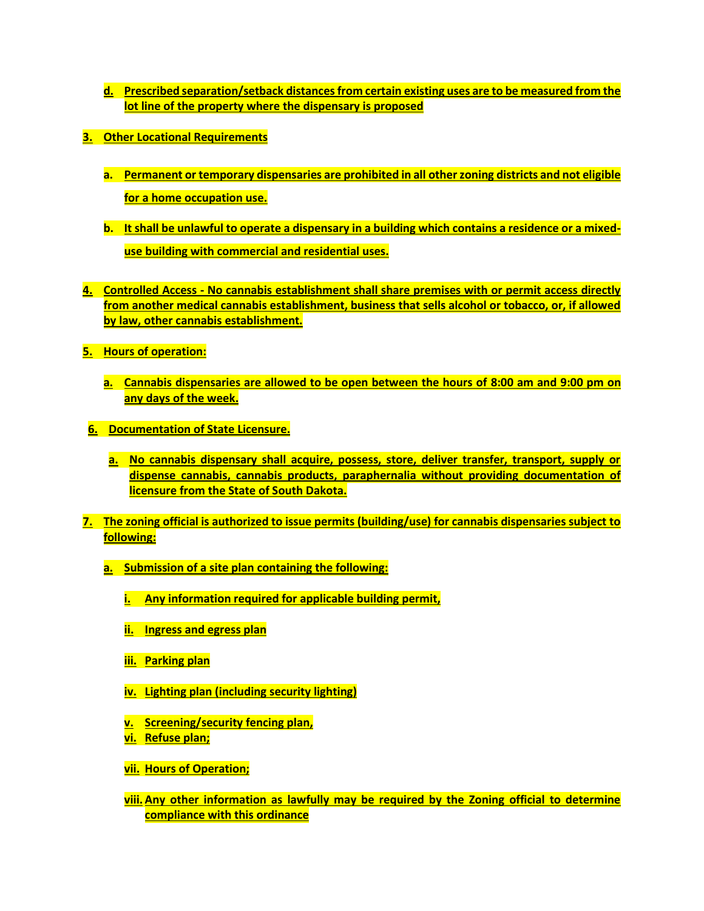- **d. Prescribed separation/setback distances from certain existing uses are to be measured from the lot line of the property where the dispensary is proposed**
- **3. Other Locational Requirements**
	- **a. Permanent or temporary dispensaries are prohibited in all other zoning districts and not eligible for a home occupation use.**
	- **b. It shall be unlawful to operate a dispensary in a building which contains a residence or a mixeduse building with commercial and residential uses.**
- **4. Controlled Access - No cannabis establishment shall share premises with or permit access directly from another medical cannabis establishment, business that sells alcohol or tobacco, or, if allowed by law, other cannabis establishment.**
- **5. Hours of operation:**
	- **a. Cannabis dispensaries are allowed to be open between the hours of 8:00 am and 9:00 pm on any days of the week.**
- **6. Documentation of State Licensure.** 
	- **a. No cannabis dispensary shall acquire, possess, store, deliver transfer, transport, supply or dispense cannabis, cannabis products, paraphernalia without providing documentation of licensure from the State of South Dakota.**
- **7. The zoning official is authorized to issue permits (building/use) for cannabis dispensaries subject to following:**
	- **a. Submission of a site plan containing the following:** 
		- **i. Any information required for applicable building permit,**
		- **ii. Ingress and egress plan**
		- **iii. Parking plan**
		- **iv. Lighting plan (including security lighting)**
		- **v. Screening/security fencing plan,**
		- **vi. Refuse plan;**
		- **vii. Hours of Operation;**
		- **viii. Any other information as lawfully may be required by the Zoning official to determine compliance with this ordinance**